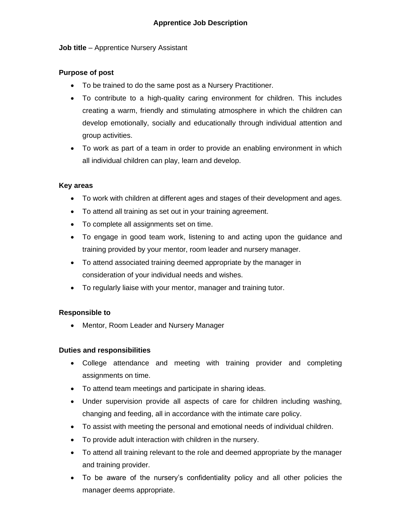### **Job title** – Apprentice Nursery Assistant

# **Purpose of post**

- To be trained to do the same post as a Nursery Practitioner.
- To contribute to a high-quality caring environment for children. This includes creating a warm, friendly and stimulating atmosphere in which the children can develop emotionally, socially and educationally through individual attention and group activities.
- To work as part of a team in order to provide an enabling environment in which all individual children can play, learn and develop.

# **Key areas**

- To work with children at different ages and stages of their development and ages.
- To attend all training as set out in your training agreement.
- To complete all assignments set on time.
- To engage in good team work, listening to and acting upon the guidance and training provided by your mentor, room leader and nursery manager.
- To attend associated training deemed appropriate by the manager in consideration of your individual needs and wishes.
- To regularly liaise with your mentor, manager and training tutor.

### **Responsible to**

• Mentor, Room Leader and Nursery Manager

### **Duties and responsibilities**

- College attendance and meeting with training provider and completing assignments on time.
- To attend team meetings and participate in sharing ideas.
- Under supervision provide all aspects of care for children including washing, changing and feeding, all in accordance with the intimate care policy.
- To assist with meeting the personal and emotional needs of individual children.
- To provide adult interaction with children in the nursery.
- To attend all training relevant to the role and deemed appropriate by the manager and training provider.
- To be aware of the nursery's confidentiality policy and all other policies the manager deems appropriate.